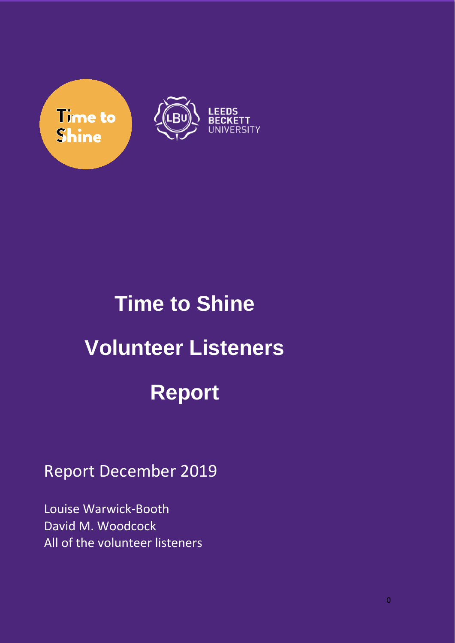

# **Time to Shine Volunteer Listeners Report**

## Report December 2019

Louise Warwick-Booth David M. Woodcock All of the volunteer listeners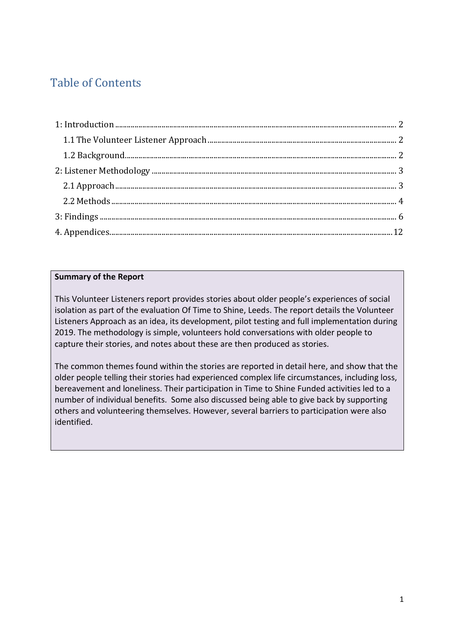### Table of Contents

#### **Summary of the Report**

This Volunteer Listeners report provides stories about older people's experiences of social isolation as part of the evaluation Of Time to Shine, Leeds. The report details the Volunteer Listeners Approach as an idea, its development, pilot testing and full implementation during 2019. The methodology is simple, volunteers hold conversations with older people to capture their stories, and notes about these are then produced as stories.

The common themes found within the stories are reported in detail here, and show that the older people telling their stories had experienced complex life circumstances, including loss, bereavement and loneliness. Their participation in Time to Shine Funded activities led to a number of individual benefits. Some also discussed being able to give back by supporting others and volunteering themselves. However, several barriers to participation were also identified.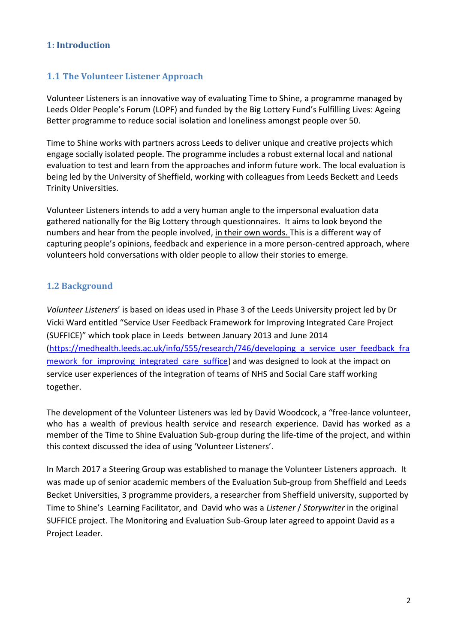#### <span id="page-2-0"></span>**1: Introduction**

#### <span id="page-2-1"></span>**1.1 The Volunteer Listener Approach**

Volunteer Listeners is an innovative way of evaluating Time to Shine, a programme managed by Leeds Older People's Forum (LOPF) and funded by the Big Lottery Fund's Fulfilling Lives: Ageing Better programme to reduce social isolation and loneliness amongst people over 50.

Time to Shine works with partners across Leeds to deliver unique and creative projects which engage socially isolated people. The programme includes a robust external local and national evaluation to test and learn from the approaches and inform future work. The local evaluation is being led by the University of Sheffield, working with colleagues from Leeds Beckett and Leeds Trinity Universities.

Volunteer Listeners intends to add a very human angle to the impersonal evaluation data gathered nationally for the Big Lottery through questionnaires. It aims to look beyond the numbers and hear from the people involved, in their own words. This is a different way of capturing people's opinions, feedback and experience in a more person-centred approach, where volunteers hold conversations with older people to allow their stories to emerge.

#### <span id="page-2-2"></span>**1.2 Background**

*Volunteer Listeners*' is based on ideas used in Phase 3 of the Leeds University project led by Dr Vicki Ward entitled "[Service User Feedback Framework for Improving Integrated Care Project](file:///E:/Users/uos/Library/Containers/com.apple.mail/Data/Library/Mail%20Downloads/2FB5EE87-0A9C-4D4F-9F85-01DACE87FD73/Service%20User%20Feedback%20Framework%20for%20Improving%20Integrated%20Care%20Project%20which%20took%20place%20in%20Leeds)  [\(SUFFICE\)" which took place in Leeds](file:///E:/Users/uos/Library/Containers/com.apple.mail/Data/Library/Mail%20Downloads/2FB5EE87-0A9C-4D4F-9F85-01DACE87FD73/Service%20User%20Feedback%20Framework%20for%20Improving%20Integrated%20Care%20Project%20which%20took%20place%20in%20Leeds) between January 2013 and June 2014 [\(https://medhealth.leeds.ac.uk/info/555/research/746/developing\\_a\\_service\\_user\\_feedback\\_fra](https://medhealth.leeds.ac.uk/info/555/research/746/developing_a_service_user_feedback_framework_for_improving_integrated_care_suffice) mework for improving integrated care suffice) and was designed to look at the impact on service user experiences of the integration of teams of NHS and Social Care staff working together.

The development of the Volunteer Listeners was led by David Woodcock, a "free-lance volunteer, who has a wealth of previous health service and research experience. David has worked as a member of the Time to Shine Evaluation Sub-group during the life-time of the project, and within this context discussed the idea of using 'Volunteer Listeners'.

In March 2017 a Steering Group was established to manage the Volunteer Listeners approach. It was made up of senior academic members of the Evaluation Sub-group from Sheffield and Leeds Becket Universities, 3 programme providers, a researcher from Sheffield university, supported by Time to Shine's Learning Facilitator, and David who was a *Listener* / *Storywriter* in the original SUFFICE project. The Monitoring and Evaluation Sub-Group later agreed to appoint David as a Project Leader.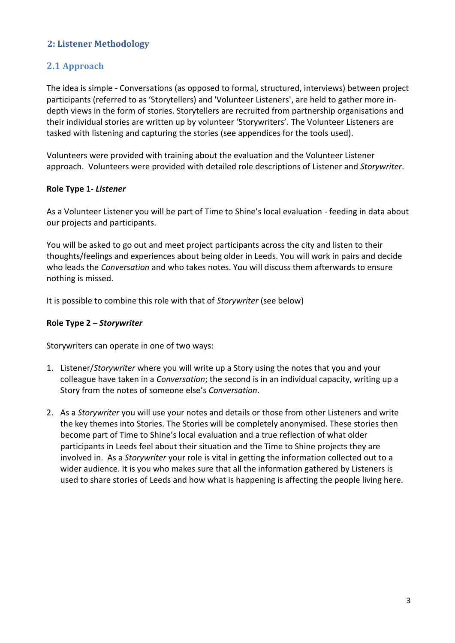#### <span id="page-3-0"></span>**2: Listener Methodology**

#### <span id="page-3-1"></span>**2.1 Approach**

The idea is simple - Conversations (as opposed to formal, structured, interviews) between project participants (referred to as 'Storytellers) and 'Volunteer Listeners', are held to gather more indepth views in the form of stories. Storytellers are recruited from partnership organisations and their individual stories are written up by volunteer 'Storywriters'. The Volunteer Listeners are tasked with listening and capturing the stories (see appendices for the tools used).

Volunteers were provided with training about the evaluation and the Volunteer Listener approach. Volunteers were provided with detailed role descriptions of Listener and *Storywriter*.

#### **Role Type 1-** *Listener*

As a Volunteer Listener you will be part of Time to Shine's local evaluation - feeding in data about our projects and participants.

You will be asked to go out and meet project participants across the city and listen to their thoughts/feelings and experiences about being older in Leeds. You will work in pairs and decide who leads the *Conversation* and who takes notes. You will discuss them afterwards to ensure nothing is missed.

It is possible to combine this role with that of *Storywriter* (see below)

#### **Role Type 2 –** *Storywriter*

Storywriters can operate in one of two ways:

- 1. Listener/*Storywriter* where you will write up a Story using the notes that you and your colleague have taken in a *Conversation*; the second is in an individual capacity, writing up a Story from the notes of someone else's *Conversation*.
- 2. As a *Storywriter* you will use your notes and details or those from other Listeners and write the key themes into Stories. The Stories will be completely anonymised. These stories then become part of Time to Shine's local evaluation and a true reflection of what older participants in Leeds feel about their situation and the Time to Shine projects they are involved in. As a *Storywriter* your role is vital in getting the information collected out to a wider audience. It is you who makes sure that all the information gathered by Listeners is used to share stories of Leeds and how what is happening is affecting the people living here.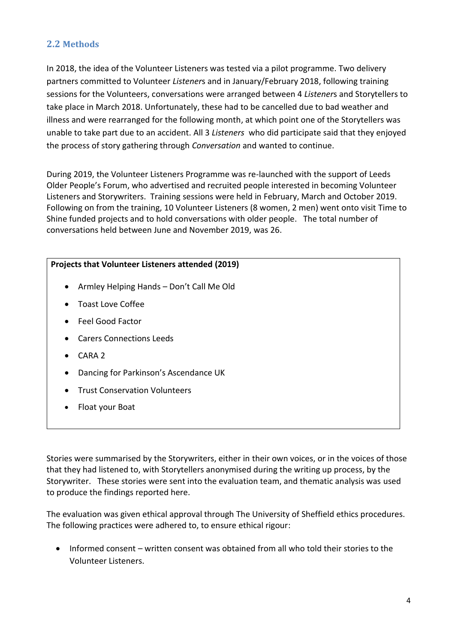#### <span id="page-4-0"></span>**2.2 Methods**

In 2018, the idea of the Volunteer Listeners was tested via a pilot programme. Two delivery partners committed to Volunteer *Listener*s and in January/February 2018, following training sessions for the Volunteers, conversations were arranged between 4 *Listener*s and Storytellers to take place in March 2018. Unfortunately, these had to be cancelled due to bad weather and illness and were rearranged for the following month, at which point one of the Storytellers was unable to take part due to an accident. All 3 *Listeners* who did participate said that they enjoyed the process of story gathering through *Conversation* and wanted to continue.

During 2019, the Volunteer Listeners Programme was re-launched with the support of Leeds Older People's Forum, who advertised and recruited people interested in becoming Volunteer Listeners and Storywriters. Training sessions were held in February, March and October 2019. Following on from the training, 10 Volunteer Listeners (8 women, 2 men) went onto visit Time to Shine funded projects and to hold conversations with older people. The total number of conversations held between June and November 2019, was 26.

#### **Projects that Volunteer Listeners attended (2019)**

- Armley Helping Hands Don't Call Me Old
- Toast Love Coffee
- Feel Good Factor
- Carers Connections Leeds
- CARA 2
- Dancing for Parkinson's Ascendance UK
- Trust Conservation Volunteers
- Float your Boat

Stories were summarised by the Storywriters, either in their own voices, or in the voices of those that they had listened to, with Storytellers anonymised during the writing up process, by the Storywriter. These stories were sent into the evaluation team, and thematic analysis was used to produce the findings reported here.

The evaluation was given ethical approval through The University of Sheffield ethics procedures. The following practices were adhered to, to ensure ethical rigour:

• Informed consent – written consent was obtained from all who told their stories to the Volunteer Listeners.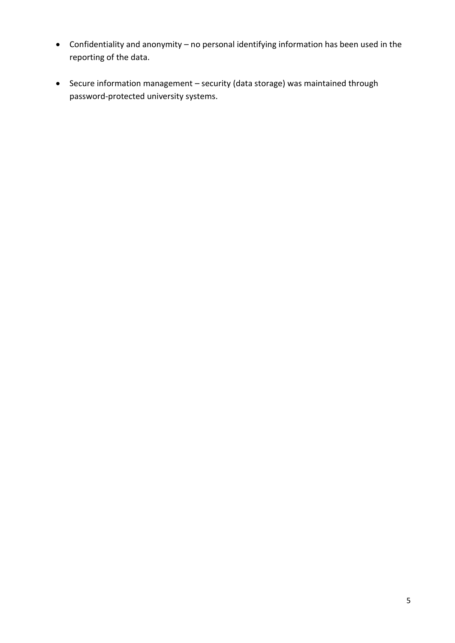- Confidentiality and anonymity no personal identifying information has been used in the reporting of the data.
- Secure information management security (data storage) was maintained through password-protected university systems.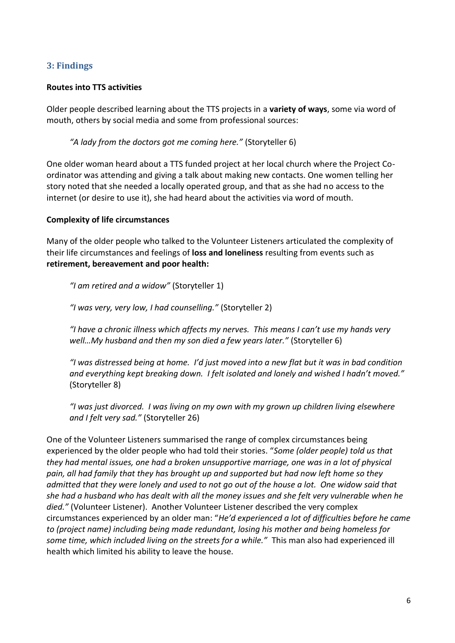#### <span id="page-6-0"></span>**3: Findings**

#### **Routes into TTS activities**

Older people described learning about the TTS projects in a **variety of ways**, some via word of mouth, others by social media and some from professional sources:

*"A lady from the doctors got me coming here."* (Storyteller 6)

One older woman heard about a TTS funded project at her local church where the Project Coordinator was attending and giving a talk about making new contacts. One women telling her story noted that she needed a locally operated group, and that as she had no access to the internet (or desire to use it), she had heard about the activities via word of mouth.

#### **Complexity of life circumstances**

Many of the older people who talked to the Volunteer Listeners articulated the complexity of their life circumstances and feelings of **loss and loneliness** resulting from events such as **retirement, bereavement and poor health:**

*"I am retired and a widow"* (Storyteller 1)

*"I was very, very low, I had counselling."* (Storyteller 2)

*"I have a chronic illness which affects my nerves. This means I can't use my hands very well…My husband and then my son died a few years later."* (Storyteller 6)

*"I was distressed being at home. I'd just moved into a new flat but it was in bad condition and everything kept breaking down. I felt isolated and lonely and wished I hadn't moved."* (Storyteller 8)

*"I was just divorced. I was living on my own with my grown up children living elsewhere and I felt very sad."* (Storyteller 26)

One of the Volunteer Listeners summarised the range of complex circumstances being experienced by the older people who had told their stories. "*Some (older people) told us that they had mental issues, one had a broken unsupportive marriage, one was in a lot of physical pain, all had family that they has brought up and supported but had now left home so they admitted that they were lonely and used to not go out of the house a lot. One widow said that she had a husband who has dealt with all the money issues and she felt very vulnerable when he died."* (Volunteer Listener). Another Volunteer Listener described the very complex circumstances experienced by an older man: "*He'd experienced a lot of difficulties before he came to (project name) including being made redundant, losing his mother and being homeless for some time, which included living on the streets for a while."* This man also had experienced ill health which limited his ability to leave the house.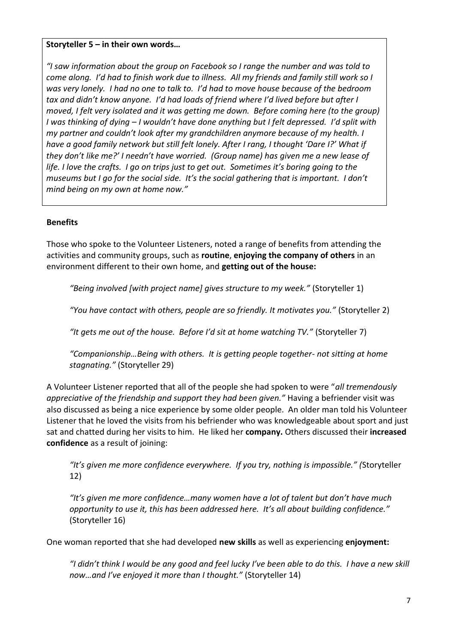#### **Storyteller 5 – in their own words…**

*"I saw information about the group on Facebook so I range the number and was told to come along. I'd had to finish work due to illness. All my friends and family still work so I was very lonely. I had no one to talk to. I'd had to move house because of the bedroom tax and didn't know anyone. I'd had loads of friend where I'd lived before but after I moved, I felt very isolated and it was getting me down. Before coming here (to the group) I was thinking of dying – I wouldn't have done anything but I felt depressed. I'd split with my partner and couldn't look after my grandchildren anymore because of my health. I have a good family network but still felt lonely. After I rang, I thought 'Dare I?' What if they don't like me?' I needn't have worried. (Group name) has given me a new lease of life. I love the crafts. I go on trips just to get out. Sometimes it's boring going to the museums but I go for the social side. It's the social gathering that is important. I don't mind being on my own at home now."*

#### **Benefits**

Those who spoke to the Volunteer Listeners, noted a range of benefits from attending the activities and community groups, such as **routine**, **enjoying the company of others** in an environment different to their own home, and **getting out of the house:**

*"Being involved [with project name] gives structure to my week."* (Storyteller 1)

*"You have contact with others, people are so friendly. It motivates you."* (Storyteller 2)

*"It gets me out of the house. Before I'd sit at home watching TV."* (Storyteller 7)

*"Companionship…Being with others. It is getting people together- not sitting at home stagnating."* (Storyteller 29)

A Volunteer Listener reported that all of the people she had spoken to were "*all tremendously appreciative of the friendship and support they had been given."* Having a befriender visit was also discussed as being a nice experience by some older people. An older man told his Volunteer Listener that he loved the visits from his befriender who was knowledgeable about sport and just sat and chatted during her visits to him. He liked her **company.** Others discussed their **increased confidence** as a result of joining:

*"It's given me more confidence everywhere. If you try, nothing is impossible." (*Storyteller 12)

*"It's given me more confidence…many women have a lot of talent but don't have much opportunity to use it, this has been addressed here. It's all about building confidence."* (Storyteller 16)

One woman reported that she had developed **new skills** as well as experiencing **enjoyment:**

*"I didn't think I would be any good and feel lucky I've been able to do this. I have a new skill now…and I've enjoyed it more than I thought."* (Storyteller 14)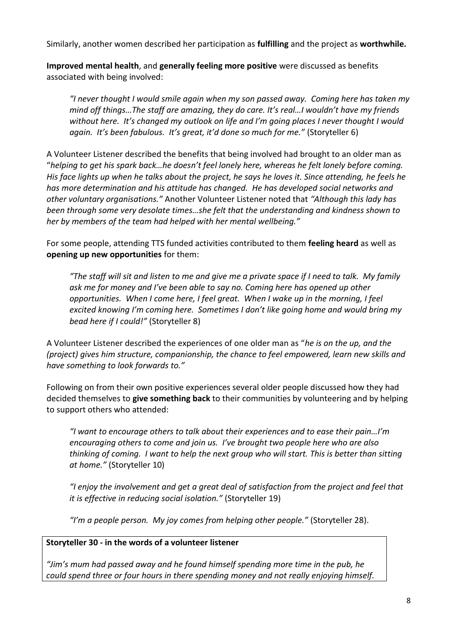Similarly, another women described her participation as **fulfilling** and the project as **worthwhile.**

**Improved mental health**, and **generally feeling more positive** were discussed as benefits associated with being involved:

*"I never thought I would smile again when my son passed away. Coming here has taken my mind off things…The staff are amazing, they do care. It's real…I wouldn't have my friends without here. It's changed my outlook on life and I'm going places I never thought I would again. It's been fabulous. It's great, it'd done so much for me."* (Storyteller 6)

A Volunteer Listener described the benefits that being involved had brought to an older man as "*helping to get his spark back…he doesn't feel lonely here, whereas he felt lonely before coming. His face lights up when he talks about the project, he says he loves it. Since attending, he feels he has more determination and his attitude has changed. He has developed social networks and other voluntary organisations."* Another Volunteer Listener noted that *"Although this lady has been through some very desolate times…she felt that the understanding and kindness shown to her by members of the team had helped with her mental wellbeing."*

For some people, attending TTS funded activities contributed to them **feeling heard** as well as **opening up new opportunities** for them:

*"The staff will sit and listen to me and give me a private space if I need to talk. My family ask me for money and I've been able to say no. Coming here has opened up other opportunities. When I come here, I feel great. When I wake up in the morning, I feel excited knowing I'm coming here. Sometimes I don't like going home and would bring my bead here if I could!"* (Storyteller 8)

A Volunteer Listener described the experiences of one older man as "*he is on the up, and the (project) gives him structure, companionship, the chance to feel empowered, learn new skills and have something to look forwards to."* 

Following on from their own positive experiences several older people discussed how they had decided themselves to **give something back** to their communities by volunteering and by helping to support others who attended:

*"I want to encourage others to talk about their experiences and to ease their pain…I'm encouraging others to come and join us. I've brought two people here who are also thinking of coming. I want to help the next group who will start. This is better than sitting at home."* (Storyteller 10)

*"I enjoy the involvement and get a great deal of satisfaction from the project and feel that it is effective in reducing social isolation."* (Storyteller 19)

*"I'm a people person. My joy comes from helping other people."* (Storyteller 28).

#### **Storyteller 30 - in the words of a volunteer listener**

*"Jim's mum had passed away and he found himself spending more time in the pub, he could spend three or four hours in there spending money and not really enjoying himself.*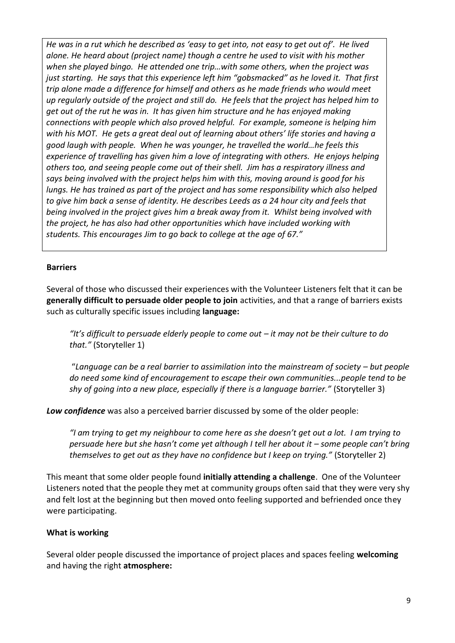*He was in a rut which he described as 'easy to get into, not easy to get out of'. He lived alone. He heard about (project name) though a centre he used to visit with his mother when she played bingo. He attended one trip…with some others, when the project was just starting. He says that this experience left him "gobsmacked" as he loved it. That first trip alone made a difference for himself and others as he made friends who would meet up regularly outside of the project and still do. He feels that the project has helped him to get out of the rut he was in. It has given him structure and he has enjoyed making connections with people which also proved helpful. For example, someone is helping him with his MOT. He gets a great deal out of learning about others' life stories and having a good laugh with people. When he was younger, he travelled the world…he feels this experience of travelling has given him a love of integrating with others. He enjoys helping others too, and seeing people come out of their shell. Jim has a respiratory illness and says being involved with the project helps him with this, moving around is good for his lungs. He has trained as part of the project and has some responsibility which also helped to give him back a sense of identity. He describes Leeds as a 24 hour city and feels that being involved in the project gives him a break away from it. Whilst being involved with the project, he has also had other opportunities which have included working with students. This encourages Jim to go back to college at the age of 67."*

#### **Barriers**

Several of those who discussed their experiences with the Volunteer Listeners felt that it can be **generally difficult to persuade older people to join** activities, and that a range of barriers exists such as culturally specific issues including **language:**

*"It's difficult to persuade elderly people to come out – it may not be their culture to do that."* (Storyteller 1)

"Language can be a real barrier to assimilation into the mainstream of society – but people *do need some kind of encouragement to escape their own communities...people tend to be shy of going into a new place, especially if there is a language barrier."* (Storyteller 3)

*Low confidence* was also a perceived barrier discussed by some of the older people:

*"I am trying to get my neighbour to come here as she doesn't get out a lot. I am trying to persuade here but she hasn't come yet although I tell her about it – some people can't bring themselves to get out as they have no confidence but I keep on trying."* (Storyteller 2)

This meant that some older people found **initially attending a challenge**. One of the Volunteer Listeners noted that the people they met at community groups often said that they were very shy and felt lost at the beginning but then moved onto feeling supported and befriended once they were participating.

#### **What is working**

Several older people discussed the importance of project places and spaces feeling **welcoming** and having the right **atmosphere:**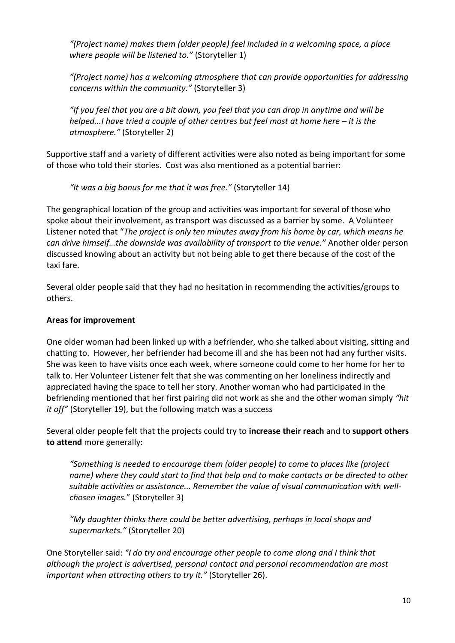*"(Project name) makes them (older people) feel included in a welcoming space, a place where people will be listened to."* (Storyteller 1)

*"(Project name) has a welcoming atmosphere that can provide opportunities for addressing concerns within the community."* (Storyteller 3)

*"If you feel that you are a bit down, you feel that you can drop in anytime and will be helped...I have tried a couple of other centres but feel most at home here – it is the atmosphere."* (Storyteller 2)

Supportive staff and a variety of different activities were also noted as being important for some of those who told their stories. Cost was also mentioned as a potential barrier:

*"It was a big bonus for me that it was free."* (Storyteller 14)

The geographical location of the group and activities was important for several of those who spoke about their involvement, as transport was discussed as a barrier by some. A Volunteer Listener noted that "*The project is only ten minutes away from his home by car, which means he can drive himself…the downside was availability of transport to the venue."* Another older person discussed knowing about an activity but not being able to get there because of the cost of the taxi fare.

Several older people said that they had no hesitation in recommending the activities/groups to others.

#### **Areas for improvement**

One older woman had been linked up with a befriender, who she talked about visiting, sitting and chatting to. However, her befriender had become ill and she has been not had any further visits. She was keen to have visits once each week, where someone could come to her home for her to talk to. Her Volunteer Listener felt that she was commenting on her loneliness indirectly and appreciated having the space to tell her story. Another woman who had participated in the befriending mentioned that her first pairing did not work as she and the other woman simply *"hit it off"* (Storyteller 19), but the following match was a success

Several older people felt that the projects could try to **increase their reach** and to **support others to attend** more generally:

*"Something is needed to encourage them (older people) to come to places like (project name) where they could start to find that help and to make contacts or be directed to other suitable activities or assistance... Remember the value of visual communication with wellchosen images.*" (Storyteller 3)

*"My daughter thinks there could be better advertising, perhaps in local shops and supermarkets."* (Storyteller 20)

One Storyteller said: *"I do try and encourage other people to come along and I think that although the project is advertised, personal contact and personal recommendation are most important when attracting others to try it."* (Storyteller 26).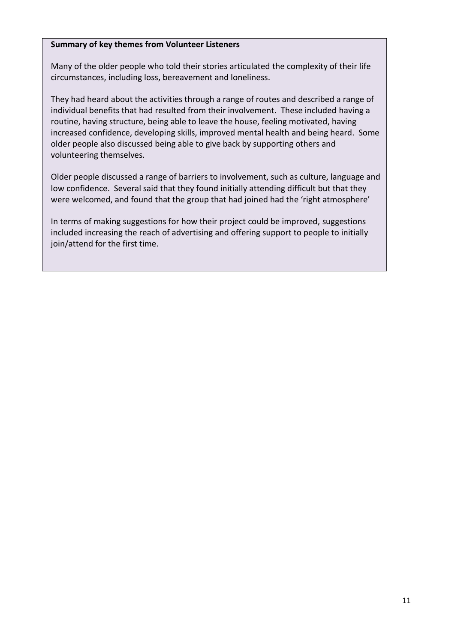#### **Summary of key themes from Volunteer Listeners**

Many of the older people who told their stories articulated the complexity of their life circumstances, including loss, bereavement and loneliness.

They had heard about the activities through a range of routes and described a range of individual benefits that had resulted from their involvement. These included having a routine, having structure, being able to leave the house, feeling motivated, having increased confidence, developing skills, improved mental health and being heard. Some older people also discussed being able to give back by supporting others and volunteering themselves.

Older people discussed a range of barriers to involvement, such as culture, language and low confidence. Several said that they found initially attending difficult but that they were welcomed, and found that the group that had joined had the 'right atmosphere'

In terms of making suggestions for how their project could be improved, suggestions included increasing the reach of advertising and offering support to people to initially join/attend for the first time.